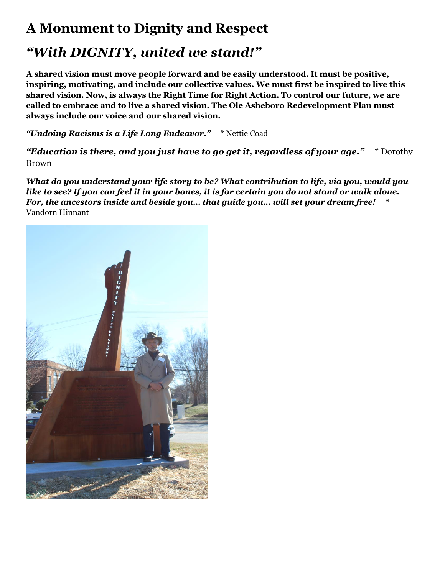## **A Monument to Dignity and Respect**

## *"With DIGNITY, united we stand!"*

**A shared vision must move people forward and be easily understood. It must be positive, inspiring, motivating, and include our collective values. We must first be inspired to live this shared vision. Now, is always the Right Time for Right Action. To control our future, we are called to embrace and to live a shared vision. The Ole Asheboro Redevelopment Plan must always include our voice and our shared vision.**

*"Undoing Racisms is a Life Long Endeavor."* \* Nettie Coad

*"Education is there, and you just have to go get it, regardless of your age."* \* Dorothy Brown

*What do you understand your life story to be? What contribution to life, via you, would you like to see? If you can feel it in your bones, it is for certain you do not stand or walk alone. For, the ancestors inside and beside you… that guide you… will set your dream free!* **\***  Vandorn Hinnant